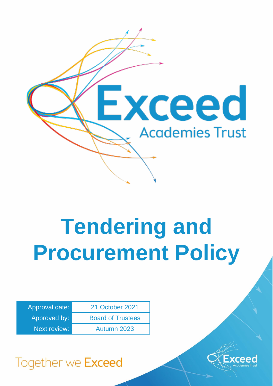

# **Tendering and Procurement Policy**

| Approval date: | 21 October 2021          |
|----------------|--------------------------|
| Approved by:   | <b>Board of Trustees</b> |
| Next review:   | Autumn 2023              |



# Together we Exceed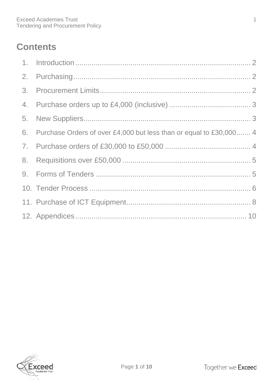## **Contents**

| 6. Purchase Orders of over £4,000 but less than or equal to £30,000 4 |  |
|-----------------------------------------------------------------------|--|
|                                                                       |  |
|                                                                       |  |
|                                                                       |  |
|                                                                       |  |
|                                                                       |  |
|                                                                       |  |

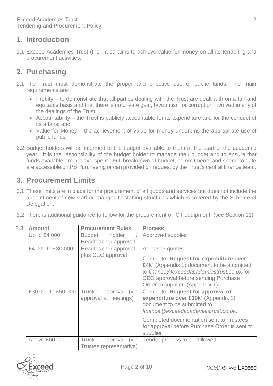## <span id="page-2-0"></span>**1. Introduction**

1.1 Exceed Academies Trust (the Trust) aims to achieve value for money on all its tendering and procurement activities.

## <span id="page-2-1"></span>**2. Purchasing**

- 2.1 The Trust must demonstrate the proper and effective use of public funds. The main requirements are:
	- Probity to demonstrate that all parties dealing with the Trust are dealt with on a fair and equitable basis and that there is no private gain, favouritism or corruption involved in any of the dealings of the Trust;
	- Accountability the Trust is publicly accountable for its expenditure and for the conduct of its affairs; and
	- Value for Money the achievement of value for money underpins the appropriate use of public funds.
- 2.2 Budget holders will be informed of the budget available to them at the start of the academic year. It is the responsibility of the budget holder to manage their budget and to ensure that funds available are not overspent. Full breakdown of budget, commitments and spend to date are accessible on PS Purchasing or can provided on request by the Trust's central finance team.

## <span id="page-2-2"></span>**3. Procurement Limits**

- 3.1 These limits are in place for the procurement of all goods and services but does not include the appointment of new staff or changes to staffing structures which is covered by the Scheme of Delegation.
- 3.2 There is additional guidance to follow for the procurement of ICT equipment. (see Section 11)

| 3.3 | <b>Amount</b>      | <b>Procurement Rules</b>                         | <b>Process</b>                                                                                                                                                                                                                             |
|-----|--------------------|--------------------------------------------------|--------------------------------------------------------------------------------------------------------------------------------------------------------------------------------------------------------------------------------------------|
|     | Up to $£4,000$     | <b>Budget</b><br>holder<br>Headteacher approval  | Approved supplier                                                                                                                                                                                                                          |
|     | £4,000 to £30,000  | Headteacher approval<br>plus CEO approval        | At least 3 quotes.<br><b>Complete "Request for expenditure over</b><br>£4k" (Appendix 1) document to be submitted<br>to finance @exceedacademiestrust.co.uk for<br>CEO approval before sending Purchase<br>Order to supplier. (Appendix 1) |
|     | £30,000 to £50,000 | Trustee approval (via<br>approval at meetings)   | Complete "Request for approval of<br>expenditure over £30k" (Appendix 2)<br>document to be submitted to<br>finance@exceedacademiestrust.co.uk.                                                                                             |
|     |                    |                                                  | Completed documentation sent to Trustees<br>for approval before Purchase Order is sent to<br>supplier.                                                                                                                                     |
|     | Above £50,000      | Trustee approval (via<br>Trustee representative) | Tender process to be followed                                                                                                                                                                                                              |

Page **2** of **10**

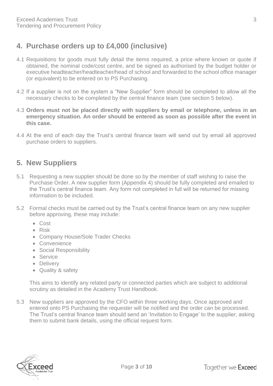## <span id="page-3-0"></span>**4. Purchase orders up to £4,000 (inclusive)**

- 4.1 Requisitions for goods must fully detail the items required, a price where known or quote if obtained, the nominal code/cost centre, and be signed as authorised by the budget holder or executive headteacher/headteacher/head of school and forwarded to the school office manager (or equivalent) to be entered on to PS Purchasing.
- 4.2 If a supplier is not on the system a "New Supplier" form should be completed to allow all the necessary checks to be completed by the central finance team (see section 5 below).
- 4.3 **Orders must not be placed directly with suppliers by email or telephone, unless in an emergency situation. An order should be entered as soon as possible after the event in this case.**
- 4.4 At the end of each day the Trust's central finance team will send out by email all approved purchase orders to suppliers.

## <span id="page-3-1"></span>**5. New Suppliers**

- 5.1 Requesting a new supplier should be done so by the member of staff wishing to raise the Purchase Order. A new supplier form (Appendix 4) should be fully completed and emailed to the Trust's central finance team. Any form not completed in full will be returned for missing information to be included.
- 5.2 Formal checks must be carried out by the Trust's central finance team on any new supplier before approving, these may include:
	- Cost
	- Risk
	- Company House/Sole Trader Checks
	- Convenience
	- Social Responsibility
	- Service
	- Delivery
	- Quality & safety

This aims to identify any related party or connected parties which are subject to additional scrutiny as detailed in the Academy Trust Handbook.

5.3 New suppliers are approved by the CFO within three working days. Once approved and entered onto PS Purchasing the requester will be notified and the order can be processed. The Trust's central finance team should send an 'Invitation to Engage' to the supplier, asking them to submit bank details, using the official request form.

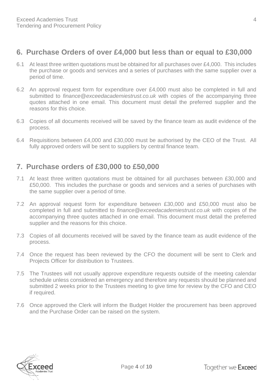## <span id="page-4-0"></span>**6. Purchase Orders of over £4,000 but less than or equal to £30,000**

- 6.1 At least three written quotations must be obtained for all purchases over £4,000. This includes the purchase or goods and services and a series of purchases with the same supplier over a period of time.
- 6.2 An approval request form for expenditure over £4,000 must also be completed in full and submitted to *finance@exceedacademiestrust.co.uk* with copies of the accompanying three quotes attached in one email. This document must detail the preferred supplier and the reasons for this choice.
- 6.3 Copies of all documents received will be saved by the finance team as audit evidence of the process.
- 6.4 Requisitions between £4,000 and £30,000 must be authorised by the CEO of the Trust. All fully approved orders will be sent to suppliers by central finance team.

## <span id="page-4-1"></span>**7. Purchase orders of £30,000 to £50,000**

- 7.1 At least three written quotations must be obtained for all purchases between £30,000 and £50,000. This includes the purchase or goods and services and a series of purchases with the same supplier over a period of time.
- 7.2 An approval request form for expenditure between £30,000 and £50,000 must also be completed in full and submitted to *finance@exceedacademiestrust.co.uk* with copies of the accompanying three quotes attached in one email. This document must detail the preferred supplier and the reasons for this choice.
- 7.3 Copies of all documents received will be saved by the finance team as audit evidence of the process.
- 7.4 Once the request has been reviewed by the CFO the document will be sent to Clerk and Projects Officer for distribution to Trustees.
- 7.5 The Trustees will not usually approve expenditure requests outside of the meeting calendar schedule unless considered an emergency and therefore any requests should be planned and submitted 2 weeks prior to the Trustees meeting to give time for review by the CFO and CEO if required.
- 7.6 Once approved the Clerk will inform the Budget Holder the procurement has been approved and the Purchase Order can be raised on the system.

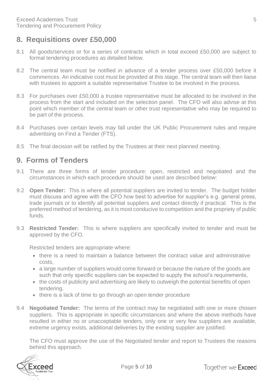## <span id="page-5-0"></span>**8. Requisitions over £50,000**

- 8.1 All goods/services or for a series of contracts which in total exceed £50,000 are subject to formal tendering procedures as detailed below.
- 8.2 The central team must be notified in advance of a tender process over £50,000 before it commences. An indicative cost must be provided at this stage. The central team will then liaise with trustees to appoint a suitable representative Trustee to be involved in the process.
- 8.3 For purchases over £50,000 a trustee representative must be allocated to be involved in the process from the start and included on the selection panel. The CFO will also advise at this point which member of the central team or other trust representative who may be required to be part of the process.
- 8.4 Purchases over certain levels may fall under the UK Public Procurement rules and require advertising on Find a Tender (FTS).
- 8.5 The final decision will be ratified by the Trustees at their next planned meeting.

## <span id="page-5-1"></span>**9. Forms of Tenders**

- 9.1 There are three forms of tender procedure: open, restricted and negotiated and the circumstances in which each procedure should be used are described below:
- 9.2 **Open Tender:** This is where all potential suppliers are invited to tender. The budget holder must discuss and agree with the CFO how best to advertise for supplier's e.g. general press, trade journals or to identify all potential suppliers and contact directly if practical. This is the preferred method of tendering, as it is most conducive to competition and the propriety of public funds.
- 9.3 **Restricted Tender:** This is where suppliers are specifically invited to tender and must be approved by the CFO.

Restricted tenders are appropriate where:

- there is a need to maintain a balance between the contract value and administrative costs,
- a large number of suppliers would come forward or because the nature of the goods are such that only specific suppliers can be expected to supply the school's requirements,
- the costs of publicity and advertising are likely to outweigh the potential benefits of open tendering.
- there is a lack of time to go through an open tender procedure
- 9.4 **Negotiated Tender:** The terms of the contract may be negotiated with one or more chosen suppliers. This is appropriate in specific circumstances and where the above methods have resulted in either no or unacceptable tenders, only one or very few suppliers are available, extreme urgency exists, additional deliveries by the existing supplier are justified.

The CFO must approve the use of the Negotiated tender and report to Trustees the reasons behind this approach.

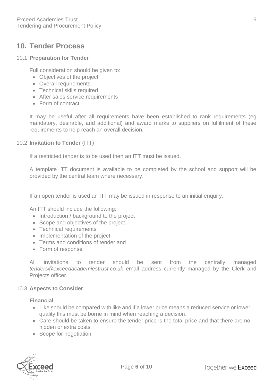## <span id="page-6-0"></span>**10. Tender Process**

#### 10.1 **Preparation for Tender**

Full consideration should be given to:

- Objectives of the project
- Overall requirements
- Technical skills required
- After sales service requirements
- Form of contract

It may be useful after all requirements have been established to rank requirements (eg mandatory, desirable, and additional) and award marks to suppliers on fulfilment of these requirements to help reach an overall decision.

#### 10.2 **Invitation to Tender** (ITT)

If a restricted tender is to be used then an ITT must be issued.

A template ITT document is available to be completed by the school and support will be provided by the central team where necessary.

If an open tender is used an ITT may be issued in response to an initial enquiry.

An ITT should include the following:

- Introduction / background to the project
- Scope and objectives of the project
- Technical requirements
- Implementation of the project
- Terms and conditions of tender and
- Form of response

All invitations to tender should be sent from the centrally managed *[tenders@exceedacademiestrust.co.uk](mailto:tenders@exceedacademiestrust.co.uk)* email address currently managed by the Clerk and Projects officer.

#### 10.3 **Aspects to Consider**

#### **Financial**

- Like should be compared with like and if a lower price means a reduced service or lower quality this must be borne in mind when reaching a decision.
- Care should be taken to ensure the tender price is the total price and that there are no hidden or extra costs
- Scope for negotiation

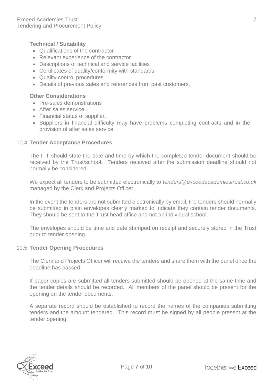#### **Technical / Suitability**

- Qualifications of the contractor
- Relevant experience of the contractor
- Descriptions of technical and service facilities
- Certificates of quality/conformity with standards
- Quality control procedures
- Details of previous sales and references from past customers.

#### **Other Considerations**

- Pre-sales demonstrations
- After sales service
- Financial status of supplier.
- Suppliers in financial difficulty may have problems completing contracts and in the provision of after sales service.

#### 10.4 **Tender Acceptance Procedures**

The ITT should state the date and time by which the completed tender document should be received by the Trust/school. Tenders received after the submission deadline should not normally be considered.

We expect all tenders to be submitted electronically to *tenders@exceedacademiestrust.co.uk* managed by the Clerk and Projects Officer.

In the event the tenders are not submitted electronically by email, the tenders should normally be submitted in plain envelopes clearly marked to indicate they contain tender documents. They should be sent to the Trust head office and not an individual school.

The envelopes should be time and date stamped on receipt and securely stored in the Trust prior to tender opening.

#### 10.5 **Tender Opening Procedures**

The Clerk and Projects Officer will receive the tenders and share them with the panel once the deadline has passed.

If paper copies are submitted all tenders submitted should be opened at the same time and the tender details should be recorded. All members of the panel should be present for the opening on the tender documents.

A separate record should be established to record the names of the companies submitting tenders and the amount tendered. This record must be signed by all people present at the tender opening.

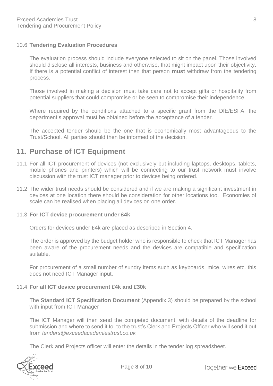#### 10.6 **Tendering Evaluation Procedures**

The evaluation process should include everyone selected to sit on the panel. Those involved should disclose all interests, business and otherwise, that might impact upon their objectivity. If there is a potential conflict of interest then that person **must** withdraw from the tendering process.

Those involved in making a decision must take care not to accept gifts or hospitality from potential suppliers that could compromise or be seen to compromise their independence.

Where required by the conditions attached to a specific grant from the DfE/ESFA, the department's approval must be obtained before the acceptance of a tender.

The accepted tender should be the one that is economically most advantageous to the Trust/School. All parties should then be informed of the decision.

## <span id="page-8-0"></span>**11. Purchase of ICT Equipment**

- 11.1 For all ICT procurement of devices (not exclusively but including laptops, desktops, tablets, mobile phones and printers) which will be connecting to our trust network must involve discussion with the trust ICT manager prior to devices being ordered.
- 11.2 The wider trust needs should be considered and if we are making a significant investment in devices at one location there should be consideration for other locations too. Economies of scale can be realised when placing all devices on one order.

#### 11.3 **For ICT device procurement under £4k**

Orders for devices under £4k are placed as described in Section 4.

The order is approved by the budget holder who is responsible to check that ICT Manager has been aware of the procurement needs and the devices are compatible and specification suitable.

For procurement of a small number of sundry items such as keyboards, mice, wires etc. this does not need ICT Manager input.

#### 11.4 **For all ICT device procurement £4k and £30k**

The **Standard ICT Specification Document** (Appendix 3) should be prepared by the school with input from ICT Manager

The ICT Manager will then send the competed document, with details of the deadline for submission and where to send it to, to the trust's Clerk and Projects Officer who will send it out from *[tenders@exceedacademiestrust.co.uk](mailto:tenders@exceedacademiestrust.co.uk)*

The Clerk and Projects officer will enter the details in the tender log spreadsheet.

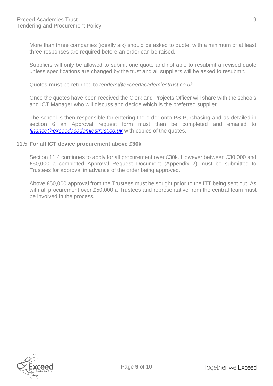More than three companies (ideally six) should be asked to quote, with a minimum of at least three responses are required before an order can be raised.

Suppliers will only be allowed to submit one quote and not able to resubmit a revised quote unless specifications are changed by the trust and all suppliers will be asked to resubmit.

Quotes **must** be returned to *[tenders@exceedacademiestrust.co.uk](mailto:tenders@exceedacademiestrust.co.uk)*

Once the quotes have been received the Clerk and Projects Officer will share with the schools and ICT Manager who will discuss and decide which is the preferred supplier.

The school is then responsible for entering the order onto PS Purchasing and as detailed in section 6 an Approval request form must then be completed and emailed to *[finance@exceedacademiestrust.co.uk](mailto:finance@exceedacademiestrust.co.uk)* with copies of the quotes.

#### 11.5 **For all ICT device procurement above £30k**

Section 11.4 continues to apply for all procurement over £30k. However between £30,000 and £50,000 a completed Approval Request Document (Appendix 2) must be submitted to Trustees for approval in advance of the order being approved.

Above £50,000 approval from the Trustees must be sought **prior** to the ITT being sent out. As with all procurement over £50,000 a Trustees and representative from the central team must be involved in the process.